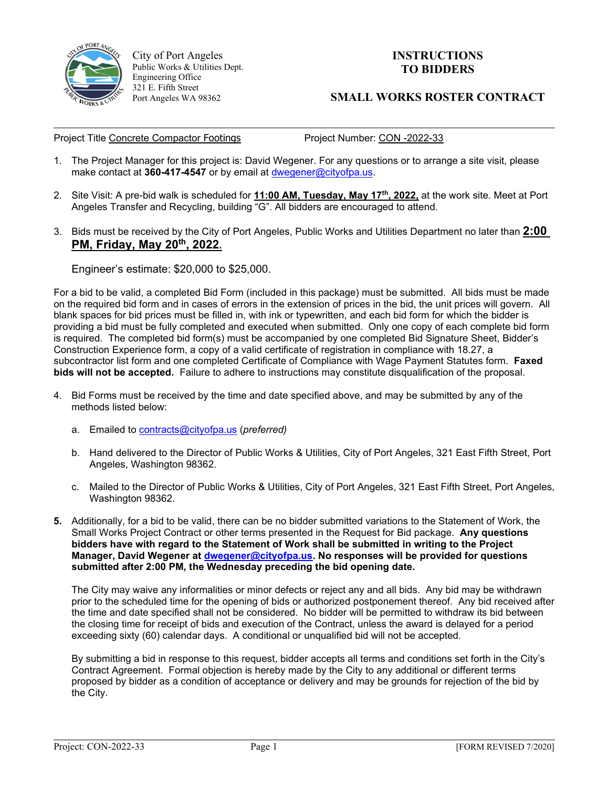

 $\overline{\phantom{a}}$ 

City of Port Angeles Public Works & Utilities Dept. Engineering Office 321 E. Fifth Street Port Angeles WA 98362

## **INSTRUCTIONS TO BIDDERS**

## **SMALL WORKS ROSTER CONTRACT**

Project Title Concrete Compactor Footings Project Number: CON -2022-33

- 1. The Project Manager for this project is: David Wegener. For any questions or to arrange a site visit, please make contact at **360-417-4547** or by email at [dwegener@cityofpa.us.](mailto:dwegener@cityofpa.us)
- 2. Site Visit: A pre-bid walk is scheduled for **11:00 AM, Tuesday, May 17th, 2022,** at the work site. Meet at Port Angeles Transfer and Recycling, building "G". All bidders are encouraged to attend.
- 3. Bids must be received by the City of Port Angeles, Public Works and Utilities Department no later than **2:00 PM, Friday, May 20th, 2022.**

Engineer's estimate: \$20,000 to \$25,000.

For a bid to be valid, a completed Bid Form (included in this package) must be submitted. All bids must be made on the required bid form and in cases of errors in the extension of prices in the bid, the unit prices will govern. All blank spaces for bid prices must be filled in, with ink or typewritten, and each bid form for which the bidder is providing a bid must be fully completed and executed when submitted. Only one copy of each complete bid form is required. The completed bid form(s) must be accompanied by one completed Bid Signature Sheet, Bidder's Construction Experience form, a copy of a valid certificate of registration in compliance with 18.27, a subcontractor list form and one completed Certificate of Compliance with Wage Payment Statutes form. **Faxed bids will not be accepted.** Failure to adhere to instructions may constitute disqualification of the proposal.

- 4. Bid Forms must be received by the time and date specified above, and may be submitted by any of the methods listed below:
	- a. Emailed to [contracts@cityofpa.us](mailto:contracts@cityofpa.us) (*preferred)*
	- b. Hand delivered to the Director of Public Works & Utilities, City of Port Angeles, 321 East Fifth Street, Port Angeles, Washington 98362.
	- c. Mailed to the Director of Public Works & Utilities, City of Port Angeles, 321 East Fifth Street, Port Angeles, Washington 98362.
- **5.** Additionally, for a bid to be valid, there can be no bidder submitted variations to the Statement of Work, the Small Works Project Contract or other terms presented in the Request for Bid package. **Any questions bidders have with regard to the Statement of Work shall be submitted in writing to the Project Manager, David Wegener at [dwegener@cityofpa.us.](mailto:dwegener@cityofpa.us) No responses will be provided for questions submitted after 2:00 PM, the Wednesday preceding the bid opening date.**

The City may waive any informalities or minor defects or reject any and all bids. Any bid may be withdrawn prior to the scheduled time for the opening of bids or authorized postponement thereof. Any bid received after the time and date specified shall not be considered. No bidder will be permitted to withdraw its bid between the closing time for receipt of bids and execution of the Contract, unless the award is delayed for a period exceeding sixty (60) calendar days. A conditional or unqualified bid will not be accepted.

By submitting a bid in response to this request, bidder accepts all terms and conditions set forth in the City's Contract Agreement. Formal objection is hereby made by the City to any additional or different terms proposed by bidder as a condition of acceptance or delivery and may be grounds for rejection of the bid by the City.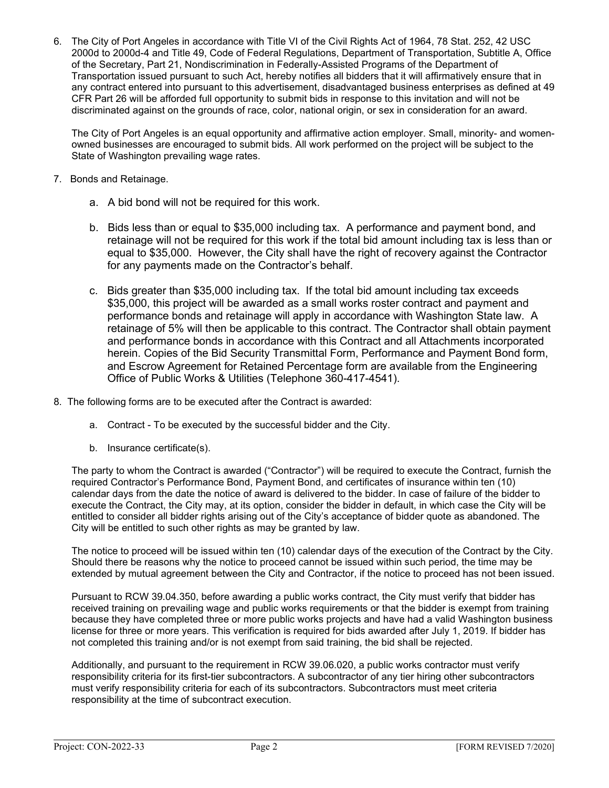6. The City of Port Angeles in accordance with Title VI of the Civil Rights Act of 1964, 78 Stat. 252, 42 USC 2000d to 2000d-4 and Title 49, Code of Federal Regulations, Department of Transportation, Subtitle A, Office of the Secretary, Part 21, Nondiscrimination in Federally-Assisted Programs of the Department of Transportation issued pursuant to such Act, hereby notifies all bidders that it will affirmatively ensure that in any contract entered into pursuant to this advertisement, disadvantaged business enterprises as defined at 49 CFR Part 26 will be afforded full opportunity to submit bids in response to this invitation and will not be discriminated against on the grounds of race, color, national origin, or sex in consideration for an award.

The City of Port Angeles is an equal opportunity and affirmative action employer. Small, minority- and womenowned businesses are encouraged to submit bids. All work performed on the project will be subject to the State of Washington prevailing wage rates.

- 7. Bonds and Retainage.
	- a. A bid bond will not be required for this work.
	- b. Bids less than or equal to \$35,000 including tax. A performance and payment bond, and retainage will not be required for this work if the total bid amount including tax is less than or equal to \$35,000. However, the City shall have the right of recovery against the Contractor for any payments made on the Contractor's behalf.
	- c. Bids greater than \$35,000 including tax. If the total bid amount including tax exceeds \$35,000, this project will be awarded as a small works roster contract and payment and performance bonds and retainage will apply in accordance with Washington State law. A retainage of 5% will then be applicable to this contract. The Contractor shall obtain payment and performance bonds in accordance with this Contract and all Attachments incorporated herein. Copies of the Bid Security Transmittal Form, Performance and Payment Bond form, and Escrow Agreement for Retained Percentage form are available from the Engineering Office of Public Works & Utilities (Telephone 360-417-4541).
- 8. The following forms are to be executed after the Contract is awarded:
	- a. Contract To be executed by the successful bidder and the City.
	- b. Insurance certificate(s).

The party to whom the Contract is awarded ("Contractor") will be required to execute the Contract, furnish the required Contractor's Performance Bond, Payment Bond, and certificates of insurance within ten (10) calendar days from the date the notice of award is delivered to the bidder. In case of failure of the bidder to execute the Contract, the City may, at its option, consider the bidder in default, in which case the City will be entitled to consider all bidder rights arising out of the City's acceptance of bidder quote as abandoned. The City will be entitled to such other rights as may be granted by law.

The notice to proceed will be issued within ten (10) calendar days of the execution of the Contract by the City. Should there be reasons why the notice to proceed cannot be issued within such period, the time may be extended by mutual agreement between the City and Contractor, if the notice to proceed has not been issued.

Pursuant to RCW 39.04.350, before awarding a public works contract, the City must verify that bidder has received training on prevailing wage and public works requirements or that the bidder is exempt from training because they have completed three or more public works projects and have had a valid Washington business license for three or more years. This verification is required for bids awarded after July 1, 2019. If bidder has not completed this training and/or is not exempt from said training, the bid shall be rejected.

Additionally, and pursuant to the requirement in RCW 39.06.020, a public works contractor must verify responsibility criteria for its first-tier subcontractors. A subcontractor of any tier hiring other subcontractors must verify responsibility criteria for each of its subcontractors. Subcontractors must meet criteria responsibility at the time of subcontract execution.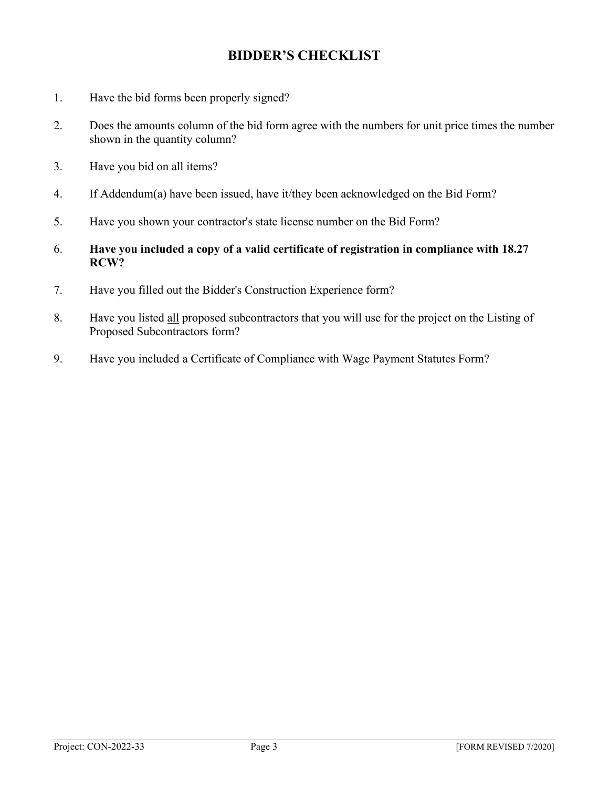## **BIDDER'S CHECKLIST**

- 1. Have the bid forms been properly signed?
- 2. Does the amounts column of the bid form agree with the numbers for unit price times the number shown in the quantity column?
- 3. Have you bid on all items?
- 4. If Addendum(a) have been issued, have it/they been acknowledged on the Bid Form?
- 5. Have you shown your contractor's state license number on the Bid Form?
- 6. **Have you included a copy of a valid certificate of registration in compliance with 18.27 RCW?**
- 7. Have you filled out the Bidder's Construction Experience form?
- 8. Have you listed all proposed subcontractors that you will use for the project on the Listing of Proposed Subcontractors form?
- 9. Have you included a Certificate of Compliance with Wage Payment Statutes Form?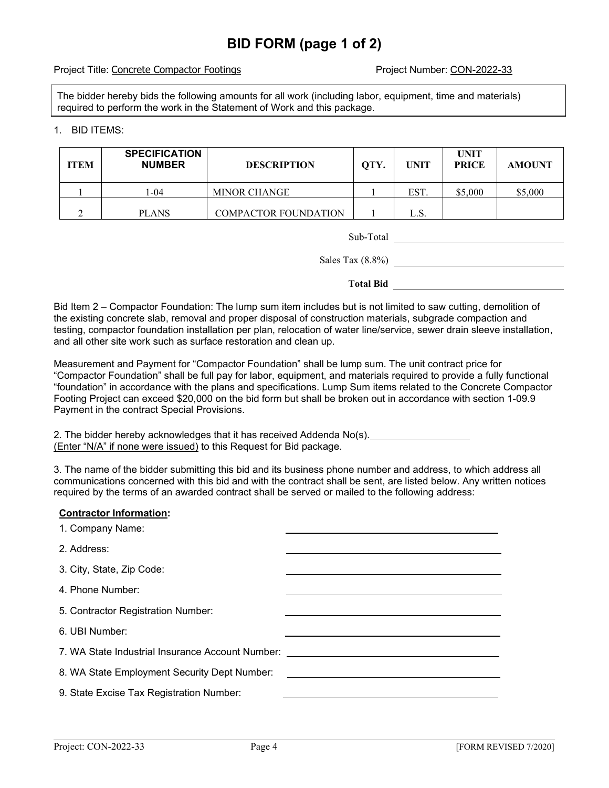# **BID FORM (page 1 of 2)**

#### Project Title: Concrete Compactor Footings **Project Number: CON-2022-33**

The bidder hereby bids the following amounts for all work (including labor, equipment, time and materials) required to perform the work in the Statement of Work and this package.

### 1. BID ITEMS:

| <b>ITEM</b> | <b>SPECIFICATION</b><br><b>NUMBER</b> | <b>DESCRIPTION</b>   | QTY. | <b>UNIT</b> | <b>UNIT</b><br><b>PRICE</b> | <b>AMOUNT</b> |
|-------------|---------------------------------------|----------------------|------|-------------|-----------------------------|---------------|
|             | 1-04                                  | <b>MINOR CHANGE</b>  |      | EST.        | \$5,000                     | \$5,000       |
|             | <b>PLANS</b>                          | COMPACTOR FOUNDATION |      | L.S.        |                             |               |

| Sub-Total |  |
|-----------|--|

Sales Tax (8.8%)

**Total Bid**

Bid Item 2 – Compactor Foundation: The lump sum item includes but is not limited to saw cutting, demolition of the existing concrete slab, removal and proper disposal of construction materials, subgrade compaction and testing, compactor foundation installation per plan, relocation of water line/service, sewer drain sleeve installation, and all other site work such as surface restoration and clean up.

Measurement and Payment for "Compactor Foundation" shall be lump sum. The unit contract price for "Compactor Foundation" shall be full pay for labor, equipment, and materials required to provide a fully functional "foundation" in accordance with the plans and specifications. Lump Sum items related to the Concrete Compactor Footing Project can exceed \$20,000 on the bid form but shall be broken out in accordance with section 1-09.9 Payment in the contract Special Provisions.

2. The bidder hereby acknowledges that it has received Addenda No(s). (Enter "N/A" if none were issued) to this Request for Bid package.

3. The name of the bidder submitting this bid and its business phone number and address, to which address all communications concerned with this bid and with the contract shall be sent, are listed below. Any written notices required by the terms of an awarded contract shall be served or mailed to the following address:

### **Contractor Information:**

| 1. Company Name:                                 |  |
|--------------------------------------------------|--|
| 2. Address:                                      |  |
| 3. City, State, Zip Code:                        |  |
| 4. Phone Number:                                 |  |
| 5. Contractor Registration Number:               |  |
| 6. UBI Number:                                   |  |
| 7. WA State Industrial Insurance Account Number: |  |
| 8. WA State Employment Security Dept Number:     |  |
| 9. State Excise Tax Registration Number:         |  |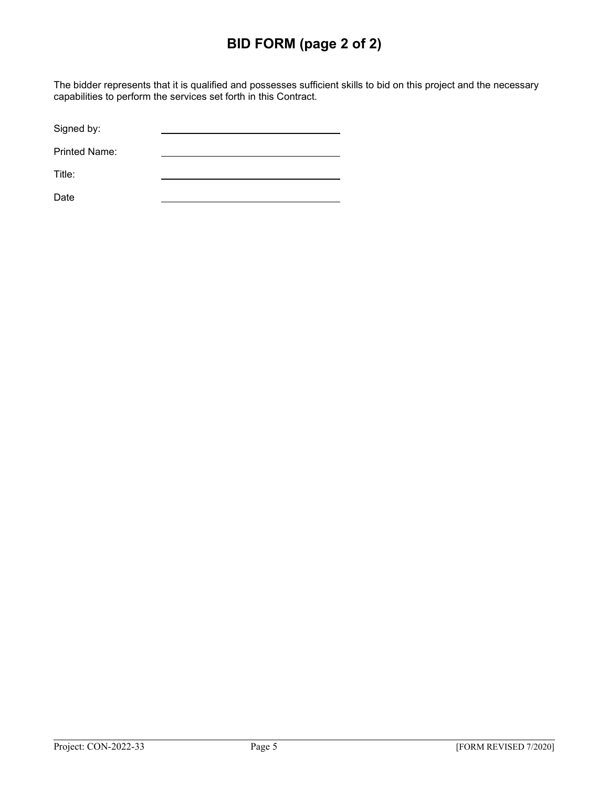# **BID FORM (page 2 of 2)**

The bidder represents that it is qualified and possesses sufficient skills to bid on this project and the necessary capabilities to perform the services set forth in this Contract.

Signed by:

Printed Name:

Title:

Date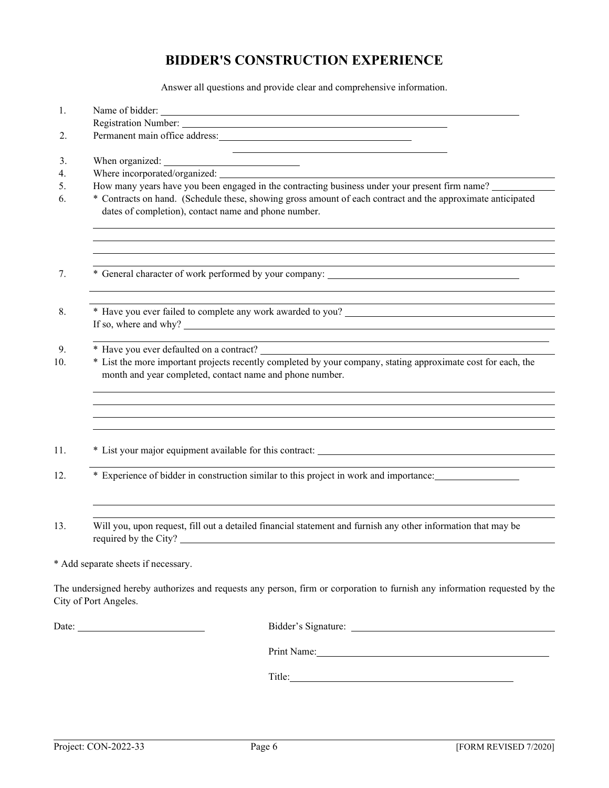## **BIDDER'S CONSTRUCTION EXPERIENCE**

Answer all questions and provide clear and comprehensive information.

| 1.  |                                                                                                                                                                                                                                |  |  |  |
|-----|--------------------------------------------------------------------------------------------------------------------------------------------------------------------------------------------------------------------------------|--|--|--|
|     |                                                                                                                                                                                                                                |  |  |  |
| 2.  | Permanent main office address:                                                                                                                                                                                                 |  |  |  |
| 3.  | When organized:                                                                                                                                                                                                                |  |  |  |
| 4.  |                                                                                                                                                                                                                                |  |  |  |
| 5.  | How many years have you been engaged in the contracting business under your present firm name?                                                                                                                                 |  |  |  |
| 6.  | * Contracts on hand. (Schedule these, showing gross amount of each contract and the approximate anticipated<br>dates of completion), contact name and phone number.                                                            |  |  |  |
| 7.  |                                                                                                                                                                                                                                |  |  |  |
| 8.  |                                                                                                                                                                                                                                |  |  |  |
| 9.  | <u> 1989 - Johann Stoff, amerikansk politiker (* 1908)</u>                                                                                                                                                                     |  |  |  |
| 10. | * List the more important projects recently completed by your company, stating approximate cost for each, the<br>month and year completed, contact name and phone number.                                                      |  |  |  |
|     |                                                                                                                                                                                                                                |  |  |  |
| 11. | * List your major equipment available for this contract: ________________________                                                                                                                                              |  |  |  |
| 12. | * Experience of bidder in construction similar to this project in work and importance:                                                                                                                                         |  |  |  |
| 13. | Will you, upon request, fill out a detailed financial statement and furnish any other information that may be<br>required by the City?                                                                                         |  |  |  |
|     | * Add separate sheets if necessary.                                                                                                                                                                                            |  |  |  |
|     | The undersigned hereby authorizes and requests any person, firm or corporation to furnish any information requested by the<br>City of Port Angeles.                                                                            |  |  |  |
|     |                                                                                                                                                                                                                                |  |  |  |
|     | Print Name: 1000 and 1000 and 1000 and 1000 and 1000 and 1000 and 1000 and 1000 and 1000 and 1000 and 1000 and 1000 and 1000 and 1000 and 1000 and 1000 and 1000 and 1000 and 1000 and 1000 and 1000 and 1000 and 1000 and 100 |  |  |  |
|     |                                                                                                                                                                                                                                |  |  |  |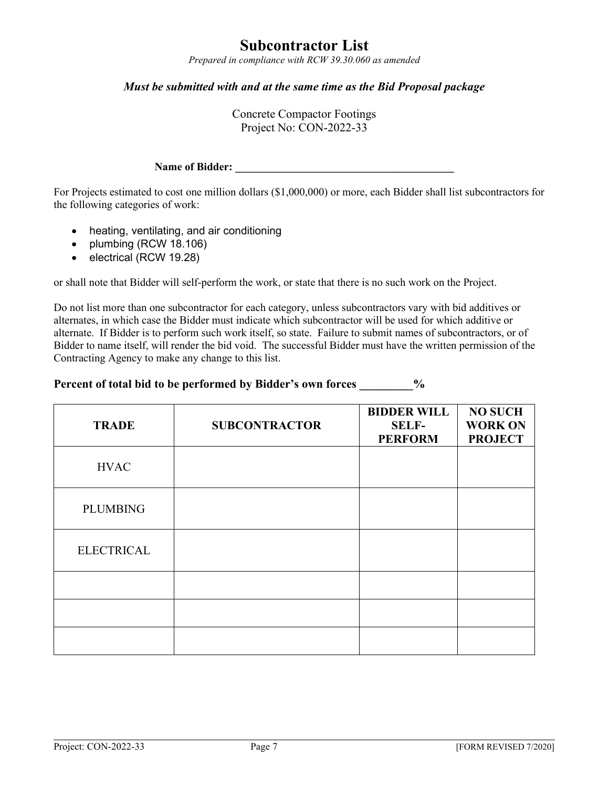# **Subcontractor List**

*Prepared in compliance with RCW 39.30.060 as amended*

## *Must be submitted with and at the same time as the Bid Proposal package*

Concrete Compactor Footings Project No: CON-2022-33

### **Name of Bidder: \_\_\_\_\_\_\_\_\_\_\_\_\_\_\_\_\_\_\_\_\_\_\_\_\_\_\_\_\_\_\_\_\_\_\_\_\_\_\_\_**

For Projects estimated to cost one million dollars (\$1,000,000) or more, each Bidder shall list subcontractors for the following categories of work:

- heating, ventilating, and air conditioning
- plumbing (RCW 18.106)
- electrical (RCW 19.28)

or shall note that Bidder will self-perform the work, or state that there is no such work on the Project.

Do not list more than one subcontractor for each category, unless subcontractors vary with bid additives or alternates, in which case the Bidder must indicate which subcontractor will be used for which additive or alternate. If Bidder is to perform such work itself, so state. Failure to submit names of subcontractors, or of Bidder to name itself, will render the bid void. The successful Bidder must have the written permission of the Contracting Agency to make any change to this list.

### **Percent of total bid to be performed by Bidder's own forces \_\_\_\_\_\_\_\_\_%**

| <b>TRADE</b>      | <b>SUBCONTRACTOR</b> | <b>BIDDER WILL</b><br><b>SELF-</b><br><b>PERFORM</b> | <b>NO SUCH</b><br><b>WORK ON</b><br><b>PROJECT</b> |
|-------------------|----------------------|------------------------------------------------------|----------------------------------------------------|
| <b>HVAC</b>       |                      |                                                      |                                                    |
| <b>PLUMBING</b>   |                      |                                                      |                                                    |
| <b>ELECTRICAL</b> |                      |                                                      |                                                    |
|                   |                      |                                                      |                                                    |
|                   |                      |                                                      |                                                    |
|                   |                      |                                                      |                                                    |